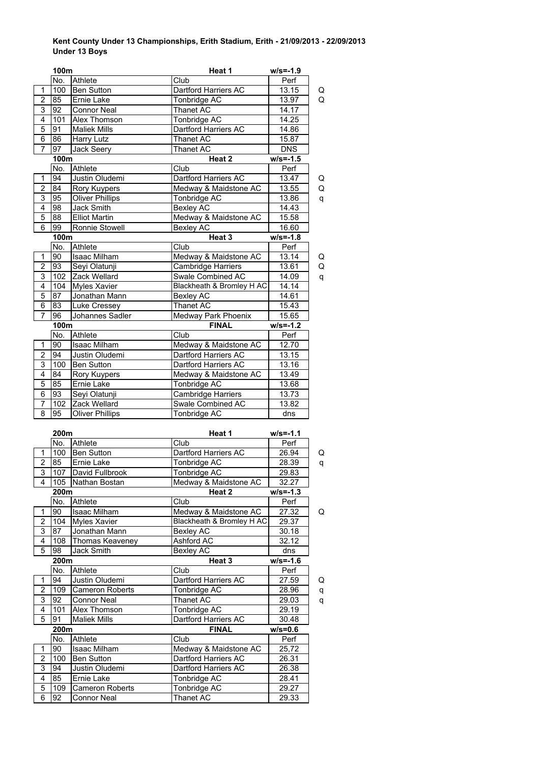## **Kent County Under 13 Championships, Erith Stadium, Erith - 21/09/2013 - 22/09/2013 Under 13 Boys**

|                                  | 100m                   |                                | Heat 1                        | $w/s = -1.9$         |        |
|----------------------------------|------------------------|--------------------------------|-------------------------------|----------------------|--------|
|                                  | No.                    | Athlete                        | Club                          | Perf                 |        |
| 1                                | 100                    | <b>Ben Sutton</b>              | Dartford Harriers AC          | 13.15                | Q      |
| $\overline{2}$                   | 85                     | Ernie Lake                     | Tonbridge AC                  | 13.97                | Q      |
| 3                                | 92                     | <b>Connor Neal</b>             | Thanet AC                     | 14.17                |        |
| $\overline{4}$                   | 101                    | Alex Thomson                   | Tonbridge AC                  | 14.25                |        |
| 5                                | 91                     | <b>Maliek Mills</b>            | Dartford Harriers AC          | 14.86                |        |
| 6                                | 86                     | <b>Harry Lutz</b>              | Thanet AC                     | 15.87                |        |
| $\overline{7}$                   | 97                     | Jack Seery                     | Thanet AC                     | <b>DNS</b>           |        |
|                                  | 100m                   |                                | Heat 2                        | $w/s = -1.5$         |        |
|                                  | No.                    | Athlete                        | Club                          | Perf                 |        |
| $\mathbf{1}$                     | 94                     | Justin Oludemi                 | Dartford Harriers AC          | 13.47                | Q      |
| $\overline{c}$                   | 84                     | Rory Kuypers                   | Medway & Maidstone AC         | 13.55                | Q      |
| $\overline{3}$                   | 95                     | <b>Oliver Phillips</b>         | Tonbridge AC                  | 13.86                | q      |
| $\overline{4}$                   | 98                     | Jack Smith                     | <b>Bexley AC</b>              | 14.43                |        |
| $\overline{5}$<br>$\overline{6}$ | 88                     | <b>Elliot Martin</b>           | Medway & Maidstone AC         | 15.58                |        |
|                                  | 99                     | Ronnie Stowell                 | <b>Bexley AC</b><br>Heat 3    | 16.60                |        |
|                                  | 100m<br>No.            | Athlete                        | Club                          | $w/s = -1.8$<br>Perf |        |
| 1                                | 90                     | <b>Isaac Milham</b>            | Medway & Maidstone AC         | $\overline{13.14}$   |        |
| $\overline{2}$                   | 93                     | Seyi Olatunji                  | Cambridge Harriers            | 13.61                | Q<br>Q |
| 3                                | 102                    | Zack Wellard                   | Swale Combined AC             | 14.09                | q      |
| 4                                | 104                    | <b>Myles Xavier</b>            | Blackheath & Bromley H AC     | 14.14                |        |
| $\overline{5}$                   | 87                     | Jonathan Mann                  | Bexley AC                     | 14.61                |        |
| 6                                | 83                     | Luke Cressey                   | Thanet AC                     | 15.43                |        |
| $\overline{7}$                   | 96                     | Johannes Sadler                | Medway Park Phoenix           | 15.65                |        |
|                                  | 100m                   |                                | <b>FINAL</b>                  | $w/s = -1.2$         |        |
|                                  | No.                    | Athlete                        | Club                          | Perf                 |        |
| $\mathbf{1}$                     | 90                     | <b>Isaac Milham</b>            | Medway & Maidstone AC         | 12.70                |        |
| $\overline{\mathbf{c}}$          | 94                     | Justin Oludemi                 | Dartford Harriers AC          | 13.15                |        |
| $\overline{3}$                   | 100                    | <b>Ben Sutton</b>              | Dartford Harriers AC          | 13.16                |        |
| 4                                | 84                     | Rory Kuypers                   | Medway & Maidstone AC         | 13.49                |        |
| 5                                | 85                     | Ernie Lake                     | Tonbridge AC                  | 13.68                |        |
| $\overline{6}$                   | $\overline{93}$        | Seyi Olatunji                  | <b>Cambridge Harriers</b>     | 13.73                |        |
| 7                                | 102                    | Zack Wellard                   | Swale Combined AC             | 13.82                |        |
| $\overline{8}$                   | 95                     | <b>Oliver Phillips</b>         | Tonbridge AC                  | dns                  |        |
|                                  |                        |                                |                               |                      |        |
|                                  | 200m                   |                                | Heat 1                        | $w/s = -1.1$         |        |
|                                  | No.                    | Athlete                        | Club                          | Perf                 |        |
| 1                                | 100                    | <b>Ben Sutton</b>              | Dartford Harriers AC          | 26.94                | Q      |
| $\overline{2}$                   | 85                     | <b>Ernie Lake</b>              | Tonbridge AC                  | 28.39                | q      |
| $\overline{3}$                   | 107                    | David Fullbrook                | Tonbridge AC                  | 29.83                |        |
| 4                                | 105                    | Nathan Bostan                  | Medway & Maidstone AC         | 32.27                |        |
|                                  | 200m                   |                                | Heat 2                        | $w/s = -1.3$         |        |
| 1                                | No.<br>90 <sub>o</sub> | Athlete<br><b>Isaac Milham</b> | Club<br>Medway & Maidstone AC | Perf<br>27.32        |        |
| $\overline{c}$                   | 104                    | Myles Xavier                   | Blackheath & Bromley H AC     |                      | Q      |
| 3                                | 87                     | Jonathan Mann                  | Bexley AC                     | 29.37<br>30.18       |        |
| 4                                | 108                    | Thomas Keaveney                | Ashford AC                    | 32.12                |        |
| 5                                | 98                     | Jack Smith                     | Bexley AC                     | dns                  |        |
|                                  | 200m                   |                                | Heat 3                        | $w/s = -1.6$         |        |
|                                  | No.                    | Athlete                        | Club                          | Perf                 |        |
| 1                                | 94                     | Justin Oludemi                 | Dartford Harriers AC          | 27.59                | Q      |
| $\overline{\mathbf{c}}$          | 109                    | <b>Cameron Roberts</b>         | Tonbridge AC                  | 28.96                | q      |
| 3                                | 92                     | <b>Connor Neal</b>             | Thanet AC                     | 29.03                | q      |
| 4                                | 101                    | Alex Thomson                   | Tonbridge AC                  | 29.19                |        |
| 5                                | 91                     | <b>Maliek Mills</b>            | Dartford Harriers AC          | 30.48                |        |
|                                  | 200m                   |                                | <b>FINAL</b>                  | $w/s = 0.6$          |        |
|                                  | No.                    | Athlete                        | Club                          | Perf                 |        |
| 1                                | 90                     | Isaac Milham                   | Medway & Maidstone AC         | 25,72                |        |
| $\overline{\mathbf{c}}$          | 100                    | <b>Ben Sutton</b>              | Dartford Harriers AC          | 26.31                |        |
| 3                                | 94                     | Justin Oludemi                 | Dartford Harriers AC          | 26.38                |        |
| 4                                | 85                     | Ernie Lake                     | Tonbridge AC                  | 28.41                |        |
| 5                                | 109                    | Cameron Roberts                | Tonbridge AC                  | 29.27                |        |
| 6                                | 92                     | <b>Connor Neal</b>             | Thanet AC                     | 29.33                |        |
|                                  |                        |                                |                               |                      |        |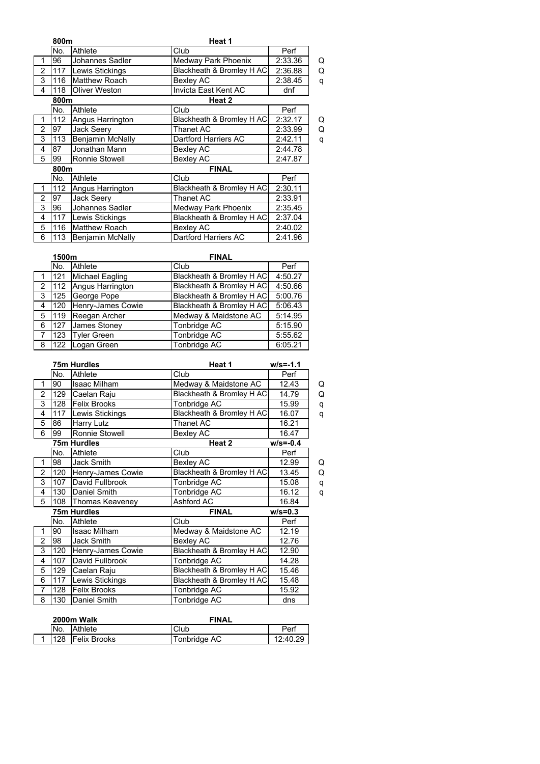|                | 800m |                         | Heat 1                    |         |   |  |
|----------------|------|-------------------------|---------------------------|---------|---|--|
|                | No.  | Athlete                 | Club                      | Perf    |   |  |
| 1              | 96   | Johannes Sadler         | Medway Park Phoenix       | 2:33.36 | Q |  |
| 2              | 117  | Lewis Stickings         | Blackheath & Bromley H AC | 2:36.88 | Q |  |
| 3              | 116  | <b>Matthew Roach</b>    | Bexley AC                 | 2:38.45 | q |  |
| 4              | 118  | <b>Oliver Weston</b>    | Invicta East Kent AC      | dnf     |   |  |
|                | 800m |                         | Heat 2                    |         |   |  |
|                | No.  | Athlete                 | Club                      | Perf    |   |  |
| 1              | 112  | Angus Harrington        | Blackheath & Bromley H AC | 2:32.17 | Q |  |
| 2              | 97   | Jack Seery              | <b>Thanet AC</b>          | 2:33.99 | Q |  |
| 3              | 113  | Benjamin McNally        | Dartford Harriers AC      | 2:42.11 | q |  |
| 4              | 87   | Jonathan Mann           | Bexley AC                 | 2:44.78 |   |  |
| 5              | 99   | Ronnie Stowell          | <b>Bexley AC</b>          | 2:47.87 |   |  |
|                | 800m |                         | <b>FINAL</b>              |         |   |  |
|                | No.  | Athlete                 | Club                      | Perf    |   |  |
|                | 112  | Angus Harrington        | Blackheath & Bromley H AC | 2:30.11 |   |  |
| $\overline{2}$ | 97   | Jack Seery              | <b>Thanet AC</b>          | 2:33.91 |   |  |
| 3              | 96   | Johannes Sadler         | Medway Park Phoenix       | 2:35.45 |   |  |
| 4              | 117  | Lewis Stickings         | Blackheath & Bromley H AC | 2:37.04 |   |  |
| 5              | 116  | <b>Matthew Roach</b>    | <b>Bexley AC</b>          | 2:40.02 |   |  |
| 6              | 113  | <b>Benjamin McNally</b> | Dartford Harriers AC      | 2:41.96 |   |  |

|   | 1500m |                    | <b>FINAL</b>              |         |
|---|-------|--------------------|---------------------------|---------|
|   | No.   | Athlete            | Club                      | Perf    |
|   | 121   | Michael Eagling    | Blackheath & Bromley H AC | 4:50.27 |
| 2 | 112   | Angus Harrington   | Blackheath & Bromley H AC | 4:50.66 |
| 3 | 125   | George Pope        | Blackheath & Bromley H AC | 5:00.76 |
| 4 | 120   | Henry-James Cowie  | Blackheath & Bromley H AC | 5:06.43 |
| 5 | 119   | Reegan Archer      | Medway & Maidstone AC     | 5:14.95 |
| 6 | 127   | James Stoney       | Tonbridge AC              | 5:15.90 |
|   | 123   | <b>Tyler Green</b> | Tonbridge AC              | 5:55.62 |
| 8 | 122   | Logan Green        | <b>Tonbridge AC</b>       | 6:05.21 |

|                |     | <b>75m Hurdles</b>  | Heat 1                    | $w/s = -1.1$ |   |
|----------------|-----|---------------------|---------------------------|--------------|---|
|                | No. | Athlete             | Club                      | Perf         |   |
| 1              | 90  | <b>Isaac Milham</b> | Medway & Maidstone AC     | 12.43        | Q |
| $\overline{2}$ | 129 | Caelan Raju         | Blackheath & Bromley H AC | 14.79        | Q |
| 3              | 128 | <b>Felix Brooks</b> | Tonbridge AC              | 15.99        | q |
| 4              | 117 | Lewis Stickings     | Blackheath & Bromley H AC | 16.07        | q |
| 5              | 86  | <b>Harry Lutz</b>   | Thanet AC                 | 16.21        |   |
| 6              | 99  | Ronnie Stowell      | <b>Bexley AC</b>          | 16.47        |   |
|                |     | <b>75m Hurdles</b>  | Heat 2                    | $w/s = -0.4$ |   |
|                | No. | Athlete             | Club                      | Perf         |   |
| 1              | 98  | <b>Jack Smith</b>   | <b>Bexley AC</b>          | 12.99        | Q |
| $\overline{2}$ | 120 | Henry-James Cowie   | Blackheath & Bromley H AC | 13.45        | Q |
| 3              | 107 | David Fullbrook     | Tonbridge AC              | 15.08        | q |
| 4              | 130 | Daniel Smith        | Tonbridge AC              | 16.12        | q |
| 5              | 108 | Thomas Keaveney     | Ashford AC                | 16.84        |   |
|                |     | 75m Hurdles         | <b>FINAL</b>              | $w/s = 0.3$  |   |
|                | No. | Athlete             | Club                      | Perf         |   |
| 1              | 90  | Isaac Milham        | Medway & Maidstone AC     | 12.19        |   |
| $\overline{2}$ | 98  | <b>Jack Smith</b>   | <b>Bexley AC</b>          | 12.76        |   |
| 3              | 120 | Henry-James Cowie   | Blackheath & Bromley H AC | 12.90        |   |
| 4              | 107 | David Fullbrook     | Tonbridge AC              | 14.28        |   |
| 5              | 129 | Caelan Raju         | Blackheath & Bromley H AC | 15.46        |   |
| 6              | 117 | Lewis Stickings     | Blackheath & Bromley H AC | 15.48        |   |
| $\overline{7}$ | 128 | <b>Felix Brooks</b> | Tonbridge AC              | 15.92        |   |
| 8              | 130 | Daniel Smith        | Tonbridge AC              | dns          |   |

| 2000m Walk |                     | <b>FINAL</b> |          |
|------------|---------------------|--------------|----------|
| No.        | Athlete             | Club         | Perf     |
| 128        | <b>Felix Brooks</b> | Tonbridge AC | 12:40.29 |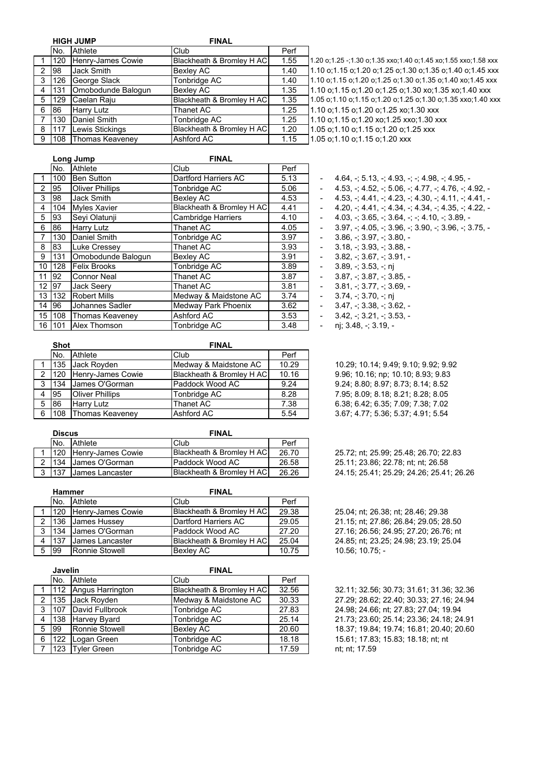|   |     | <b>HIGH JUMP</b>       | <b>FINAL</b>              |      |
|---|-----|------------------------|---------------------------|------|
|   | No. | Athlete                | Club                      | Perf |
|   | 120 | Henry-James Cowie      | Blackheath & Bromley H AC | 1.55 |
| 2 | 98  | Jack Smith             | Bexley AC                 | 1.40 |
| 3 | 126 | George Slack           | Tonbridge AC              | 1.40 |
| 4 | 131 | Omobodunde Balogun     | <b>Bexley AC</b>          | 1.35 |
| 5 | 129 | Caelan Raju            | Blackheath & Bromley H AC | 1.35 |
| 6 | 86  | Harry Lutz             | <b>Thanet AC</b>          | 1.25 |
|   | 130 | Daniel Smith           | Tonbridge AC              | 1.25 |
| 8 | 117 | Lewis Stickings        | Blackheath & Bromley H AC | 1.20 |
| 9 | 108 | <b>Thomas Keaveney</b> | Ashford AC                | 1.15 |

1.10 o;1.15 o;1.20 o;1.25 xo;1.30 xxx 1.10 o;1.15 o;1.20 xo;1.25 xxo;1.30 xxx 1.05 o;1.10 o;1.15 o;1.20 o;1.25 xxx 1.05 o;1.10 o;1.15 o;1.20 xxx 1.20 o;1.25 -;1.30 o;1.35 xxo;1.40 o;1.45 xo;1.55 xxo;1.58 xxx 1.10 o;1.15 o;1.20 o;1.25 o;1.30 o;1.35 o;1.40 o;1.45 xxx 1.10 o;1.15 o;1.20 o;1.25 o;1.30 o;1.35 o;1.40 xo;1.45 xxx 1.10 o;1.15 o;1.20 o;1.25 o;1.30 xo;1.35 xo;1.40 xxx 1.05 o;1.10 o;1.15 o;1.20 o;1.25 o;1.30 o;1.35 xxo;1.40 xxx

|       |           | Lona Jump              | <b>FINAL</b>              |      |                          |                                                                                         |
|-------|-----------|------------------------|---------------------------|------|--------------------------|-----------------------------------------------------------------------------------------|
|       | INo.      | Athlete                | Club                      | Perf |                          |                                                                                         |
|       | 100       | <b>Ben Sutton</b>      | Dartford Harriers AC      | 5.13 | ٠.                       | $4.64, \div 5.13, \div 4.93, \div 4.98, \div 4.95, -$                                   |
| 2     | <b>95</b> | <b>Oliver Phillips</b> | Tonbridge AC              | 5.06 | ٠.                       | $4.53$ , $-$ ; $4.52$ , $-$ ; $5.06$ , $-$ ; $4.77$ , $-$ ; $4.76$ , $-$ ; $4.92$ , $-$ |
| 3     | 98        | Jack Smith             | Bexley AC                 | 4.53 | $\blacksquare$           | $4.53 \div 4.41 \div 4.23 \div 4.30 \div 4.11 \div 4.41$ .                              |
| 4     | 104       | Myles Xavier           | Blackheath & Bromley H AC | 4.41 | ٠                        | $4.20 \div 4.41 \div 4.34 \div 4.34 \div 4.35 \div 4.22$ .                              |
| 5     | <b>93</b> | Sevi Olatunji          | <b>Cambridge Harriers</b> | 4.10 |                          | $4.03.$ $\div$ 3.65, $\div$ 3.64, $\div$ $\div$ 4.10, $\div$ 3.89, $\div$               |
| 6     | 186       | <b>Harry Lutz</b>      | Thanet AC                 | 4.05 |                          | $3.97 + 4.05 + 3.96 + 3.90 + 3.96 + 3.75$                                               |
|       | 130       | Daniel Smith           | Tonbridge AC              | 3.97 |                          | $3.86. - 3.97. - 3.80. -$                                                               |
| 8     | 83        | Luke Cressey           | Thanet AC                 | 3.93 |                          | $3.18 + 3.93 + 3.88 -$                                                                  |
| 9     | 131       | Omobodunde Balogun     | Bexley AC                 | 3.91 |                          | $3.82 - 3.67 - 3.91 -$                                                                  |
| 10    | 128       | <b>Felix Brooks</b>    | Tonbridge AC              | 3.89 |                          | $3.89 - 3.53 - n$                                                                       |
|       | 11   92   | <b>Connor Neal</b>     | Thanet AC                 | 3.87 |                          | $3.87 + 3.87 + 3.85 -$                                                                  |
| 12 97 |           | <b>Jack Seerv</b>      | Thanet AC                 | 3.81 |                          | $3.81 - 3.77 - 3.69 -$                                                                  |
|       | 13 1 13 2 | <b>Robert Mills</b>    | Medway & Maidstone AC     | 3.74 | $\blacksquare$           | $3.74 - 3.70 - n$                                                                       |
|       | 14 96     | Johannes Sadler        | Medway Park Phoenix       | 3.62 | $\overline{\phantom{a}}$ | $3.47 + 3.38 + 3.62 -$                                                                  |
|       | 15 108    | Thomas Keaveney        | Ashford AC                | 3.53 |                          | $3.42 - 3.21 - 3.53 -$                                                                  |
|       | 16 101    | Alex Thomson           | Tonbridge AC              | 3.48 |                          | ni: 3.48, -: 3.19, -                                                                    |

| $4.53, \div 4.52, \div 5.06, \div 4.77, \div 4.76, \div 4.92, -$                                                                  |
|-----------------------------------------------------------------------------------------------------------------------------------|
| $4.53, \frac{1}{2}$ , 4.41, $\frac{1}{2}$ , 4.23, $\frac{1}{2}$ , 4.30, $\frac{1}{2}$ , 4.11, $\frac{1}{2}$ , 4.41, $\frac{1}{2}$ |
| $4.20.$ ; $4.41.$ ; $4.34.$ ; $4.34.$ ; $4.35.$ ; $4.22.$                                                                         |
| $4.03, -3.65, -3.64, -3.10, -3.89, -$                                                                                             |
| $3.97.$ ; 4.05, -; 3.96, -; 3.90, -; 3.96, -; 3.75, -                                                                             |
| $3.86. \div 3.97. \div 3.80.$                                                                                                     |
| $3.18, \div 3.93, \div 3.88, -$                                                                                                   |
| $3.82 + 3.67 + 3.91 -$                                                                                                            |
| $3.89 - 3.53 - n$                                                                                                                 |
| $3.87 - 3.87 - 3.85 -$                                                                                                            |
| $3.81 - 3.77 - 3.69$                                                                                                              |
| $3.74. - 3.70. - n$                                                                                                               |
| $3.47 + 3.38 + 3.62 -$                                                                                                            |
| $3.42 + 3.21 + 3.53 -$                                                                                                            |

10.29; 10.14; 9.49; 9.10; 9.92; 9.92 9.96; 10.16; np; 10.10; 8.93; 9.83 9.24; 8.80; 8.97; 8.73; 8.14; 8.52 7.95; 8.09; 8.18; 8.21; 8.28; 8.05 6 38; 6.42; 6.35; 7.09; 7.38; 7.02 3.67; 4.77; 5.36; 5.37; 4.91; 5.54

25.72; nt; 25.99; 25.48; 26.70; 22.83 25.11; 23.86; 22.78; nt; nt; 26.58 24.15; 25.41; 25.29; 24.26; 25.41; 26.26

25.04; nt; 26.38; nt; 28.46; 29.38 21.15; nt; 27.86; 26.84; 29.05; 28.50 27.16; 26.56; 24.95; 27.20; 26.76; nt 24.85; nt; 23.25; 24.98; 23.19; 25.04 10.56; 10.75; -

32.11; 32.56; 30.73; 31.61; 31.36; 32.36 27.29; 28.62; 22.40; 30.33; 27.16; 24.94 24.98; 24.66; nt; 27.83; 27.04; 19.94 21.73; 23.60; 25.14; 23.36; 24.18; 24.91 5 99 Ronnie Stowell Bexley AC 20.60 18.37; 19.84; 19.74; 16.81; 20.40; 20.60 15.61; 17.83; 15.83; 18.18; nt; nt nt; nt; 17.59

|   | <b>Shot</b> |                        | <b>FINAL</b>              |       |
|---|-------------|------------------------|---------------------------|-------|
|   | No.         | Athlete                | Club                      | Perf  |
|   | 135         | Jack Royden            | Medway & Maidstone AC     | 10.29 |
| 2 | 120         | Henry-James Cowie      | Blackheath & Bromley H AC | 10.16 |
| 3 | 134         | James O'Gorman         | Paddock Wood AC           | 9.24  |
|   | 95          | <b>Oliver Phillips</b> | Tonbridge AC              | 8.28  |
| 5 | 86          | <b>Harry Lutz</b>      | Thanet AC                 | 7.38  |
| 6 | 108         | <b>Thomas Keaveney</b> | <b>Ashford AC</b>         | 5.54  |
|   |             |                        |                           |       |

|   | <b>Discus</b>     |                        | <b>FINAL</b>              |       |
|---|-------------------|------------------------|---------------------------|-------|
|   |                   | No. Athlete            | Club                      | Perf  |
|   | 120               | Henry-James Cowie      | Blackheath & Bromley H AC | 26.70 |
|   | $2 \mid 134 \mid$ | James O'Gorman         | Paddock Wood AC           | 26.58 |
| 3 | 137               | <b>James Lancaster</b> | Blackheath & Bromley H AC | 26.26 |

|     | Hammer |                        | <b>FINAL</b>              |       |
|-----|--------|------------------------|---------------------------|-------|
|     | No.    | Athlete                | Club                      | Perf  |
|     | 120    | Henry-James Cowie      | Blackheath & Bromley H AC | 29.38 |
|     | .136   | James Hussey           | Dartford Harriers AC      | 29.05 |
| - 3 | 134    | James O'Gorman         | Paddock Wood AC           | 27.20 |
| 4   | 137    | <b>James Lancaster</b> | Blackheath & Bromley H AC | 25.04 |
| -5  | 99     | Ronnie Stowell         | <b>Bexley AC</b>          | 10.75 |

|                | Javelin |                     | <b>FINAL</b>              |       |  |
|----------------|---------|---------------------|---------------------------|-------|--|
|                | No.     | <b>Athlete</b>      | Club                      | Perf  |  |
|                | 112     | Angus Harrington    | Blackheath & Bromley H AC | 32.56 |  |
| 2              | 135     | Jack Royden         | Medway & Maidstone AC     | 30.33 |  |
| 3              | 107     | David Fullbrook     | Tonbridge AC              | 27.83 |  |
| 4              | 138     | <b>Harvey Byard</b> | Tonbridge AC              | 25.14 |  |
| 5              | 99      | Ronnie Stowell      | Bexley AC                 | 20.60 |  |
| 6              | 122     | Logan Green         | Tonbridge AC              | 18.18 |  |
| $\overline{7}$ |         | 123 Tyler Green     | Tonbridge AC              | 17.59 |  |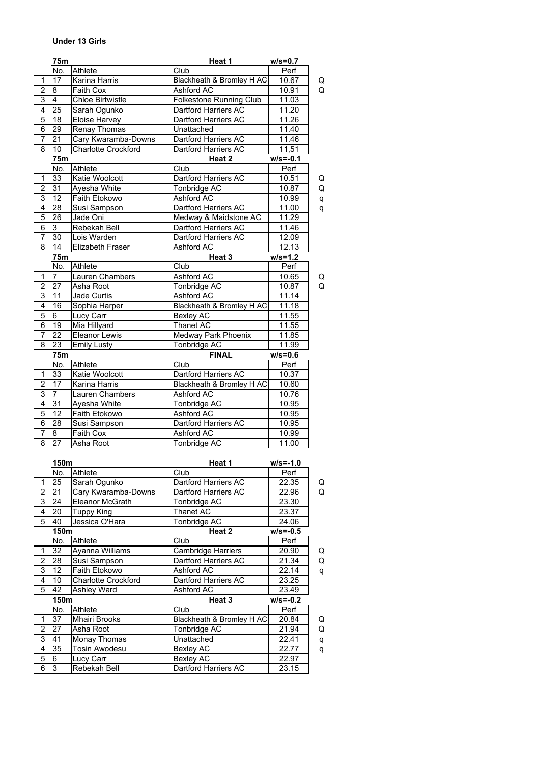## **Under 13 Girls**

|                          | 75m             |                            | Heat 1                     | $w/s = 0.7$  |   |
|--------------------------|-----------------|----------------------------|----------------------------|--------------|---|
|                          | No.             | Athlete                    | Club                       | Perf         |   |
| $\mathbf{1}$             | 17              | Karina Harris              | Blackheath & Bromley H AC  | 10.67        | Q |
| $\overline{2}$           | $\bf{8}$        | Faith Cox                  | Ashford AC                 | 10.91        | Q |
| 3                        | $\overline{4}$  | <b>Chloe Birtwistle</b>    | Folkestone Running Club    | 11.03        |   |
| 4                        | 25              | Sarah Ogunko               | Dartford Harriers AC       | 11.20        |   |
| $\overline{5}$           | 18              | Eloise Harvey              | Dartford Harriers AC       | 11.26        |   |
| 6                        | 29              | Renay Thomas               | Unattached                 | 11.40        |   |
| 7                        | 21              | Cary Kwaramba-Downs        | Dartford Harriers AC       | 11.46        |   |
| 8                        | 10              | <b>Charlotte Crockford</b> | Dartford Harriers AC       | 11,51        |   |
|                          | <b>75m</b>      |                            | Heat 2                     | $w/s = -0.1$ |   |
|                          | No.             | Athlete                    | Club                       | Perf         |   |
| $\mathbf{1}$             | 33              | Katie Woolcott             | Dartford Harriers AC       | 10.51        | Q |
| $\overline{2}$           | 31              | Ayesha White               | Tonbridge AC               | 10.87        | Q |
| 3                        | 12              | Faith Etokowo              | Ashford AC                 | 10.99        | q |
| 4                        | $\overline{28}$ | Susi Sampson               | Dartford Harriers AC       | 11.00        | q |
| 5                        | 26              | Jade Oni                   | Medway & Maidstone AC      | 11.29        |   |
| 6                        | $\overline{3}$  | Rebekah Bell               | Dartford Harriers AC       | 11.46        |   |
| $\overline{7}$           | 30              | Lois Warden                | Dartford Harriers AC       | 12.09        |   |
| 8                        | 14              | Elizabeth Fraser           | Ashford AC                 | 12.13        |   |
|                          | <b>75m</b>      |                            | Heat 3                     | $w/s = 1.2$  |   |
|                          | No.             | Athlete                    | Club                       | Perf         |   |
| $\mathbf{1}$             | $\overline{7}$  | Lauren Chambers            | <b>Ashford AC</b>          | 10.65        | Q |
| $\overline{2}$           | 27              | Asha Root                  | Tonbridge AC               | 10.87        | Q |
| 3                        | $\overline{11}$ | Jade Curtis                | Ashford AC                 | 11.14        |   |
| 4                        | 16              | Sophia Harper              | Blackheath & Bromley H AC  | 11.18        |   |
| 5                        | $6\overline{6}$ |                            |                            |              |   |
|                          |                 | Lucy Carr                  | <b>Bexley AC</b>           | 11.55        |   |
| 6                        | 19              | Mia Hillyard               | Thanet AC                  | 11.55        |   |
| $\overline{7}$           | $\overline{22}$ | Eleanor Lewis              | <b>Medway Park Phoenix</b> | 11.85        |   |
| $\overline{8}$           | $\overline{23}$ | <b>Emily Lusty</b>         | Tonbridge AC               | 11.99        |   |
|                          | 75m             |                            | <b>FINAL</b>               | $w/s = 0.6$  |   |
|                          | No.             | Athlete                    | Club                       | Perf         |   |
| $\mathbf{1}$             | 33              | Katie Woolcott             | Dartford Harriers AC       | 10.37        |   |
| $\overline{c}$           | 17              | Karina Harris              | Blackheath & Bromley H AC  | 10.60        |   |
| 3                        | $\overline{7}$  | Lauren Chambers            | <b>Ashford AC</b>          | 10.76        |   |
| 4                        | 31              | Ayesha White               | Tonbridge AC               | 10.95        |   |
| $\overline{5}$           | 12              | <b>Faith Etokowo</b>       | Ashford AC                 | 10.95        |   |
| 6                        | 28              | Susi Sampson               | Dartford Harriers AC       | 10.95        |   |
| $\overline{\mathcal{I}}$ | $\bf{8}$        | <b>Faith Cox</b>           | Ashford AC                 | 10.99        |   |
| $\overline{8}$           | $\overline{27}$ | Asha Root                  | Tonbridge AC               | 11.00        |   |
|                          |                 |                            |                            |              |   |
|                          | 150m            |                            | Heat 1                     | w/s=-1.0     |   |
|                          | No.             | Athlete                    | Club                       | Perf         |   |
| 1                        | 25              | Sarah Ogunko               | Dartford Harriers AC       | 22.35        | Q |
| $\overline{2}$           | 21              | Cary Kwaramba-Downs        | Dartford Harriers AC       | 22.96        | Q |
| 3                        | 24              | Eleanor McGrath            | Tonbridge AC               | 23.30        |   |
| 4                        | 20              | <b>Tuppy King</b>          | Thanet AC                  | 23.37        |   |
| 5                        | 40              | Jessica O'Hara             | Tonbridge AC               | 24.06        |   |
|                          | 150m            |                            | Heat 2                     | $w/s = -0.5$ |   |
|                          | No.             | Athlete                    | Club                       | Perf         |   |
| 1                        | 32              | Ayanna Williams            | Cambridge Harriers         | 20.90        | Q |
| $\overline{2}$           | 28              | Susi Sampson               | Dartford Harriers AC       | 21.34        | Q |
| 3                        | 12              | Faith Etokowo              | Ashford AC                 | 22.14        | q |
| 4                        | 10              | <b>Charlotte Crockford</b> | Dartford Harriers AC       | 23.25        |   |
| 5                        | 42              | Ashley Ward                | Ashford AC                 | 23.49        |   |
|                          | 150m            |                            | Heat 3                     | $w/s = -0.2$ |   |
|                          | No.             | Athlete                    | Club                       | Perf         |   |
| $\mathbf{1}$             | $\overline{37}$ | Mhairi Brooks              | Blackheath & Bromley H AC  | 20.84        | Q |
| $\overline{c}$           | $\overline{27}$ | Asha Root                  | Tonbridge AC               | 21.94        | Q |
| 3                        | 41              | Monay Thomas               | Unattached                 | 22.41        | q |
| 4                        | 35              | Tosin Awodesu              | <b>Bexley AC</b>           | 22.77        | q |
| 5                        | 6               | Lucy Carr                  | <b>Bexley AC</b>           | 22.97        |   |
| 6                        | $\overline{3}$  | Rebekah Bell               | Dartford Harriers AC       | 23.15        |   |
|                          |                 |                            |                            |              |   |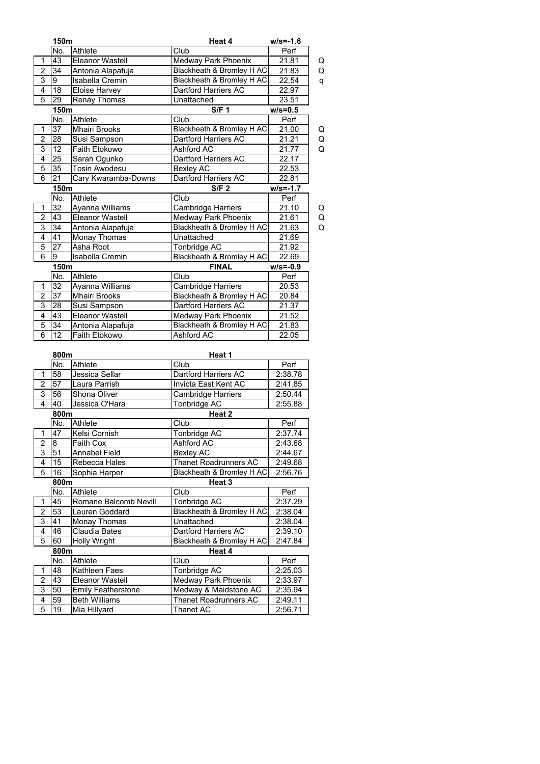|                               | 150m            |                                              | Heat 4                               | $w/s = -1.6$        |   |
|-------------------------------|-----------------|----------------------------------------------|--------------------------------------|---------------------|---|
|                               | No.             | Athlete                                      | $\overline{\text{Club}}$             | Perf                |   |
| 1                             | 43              | Eleanor Wastell                              | Medway Park Phoenix                  | 21.81               | Q |
| $\overline{2}$                | 34              | Antonia Alapafuja                            | Blackheath & Bromley H AC            | 21.83               | Q |
| $\overline{3}$                | $\overline{9}$  | Isabella Cremin                              | Blackheath & Bromley H AC            | 22.54               | q |
| $\overline{4}$                | 18              | <b>Eloise Harvey</b>                         | Dartford Harriers AC                 | 22.97               |   |
| 5                             | 29              | Renay Thomas                                 | Unattached                           | 23.51               |   |
|                               | 150m            |                                              | <b>S/F 1</b>                         | $w/s = 0.5$         |   |
|                               | No.             | Athlete                                      | Club                                 | Perf                |   |
| 1                             | $\overline{37}$ | <b>Mhairi Brooks</b>                         | Blackheath & Bromley H AC            | 21.00               | Q |
| $\overline{2}$                | $\overline{28}$ | Susi Sampson                                 | Dartford Harriers AC                 | $\overline{2}$ 1.21 | Q |
| 3                             | 12              | Faith Etokowo                                | Ashford AC                           | 21.77               | Q |
| $\overline{4}$                | 25              | Sarah Ogunko                                 | Dartford Harriers AC                 | 22.17               |   |
| $\overline{5}$                | $\overline{35}$ | <b>Tosin Awodesu</b>                         | <b>Bexley AC</b>                     | 22.53               |   |
| 6                             | $\overline{21}$ | Cary Kwaramba-Downs                          | Dartford Harriers AC                 | 22.81               |   |
|                               | 150m            |                                              | S/F <sub>2</sub>                     | $W/s = -1.7$        |   |
|                               | No.             | Athlete                                      | Club                                 | Perf                |   |
| 1                             | 32              | Ayanna Williams                              | Cambridge Harriers                   | 21.10               | Q |
| $\overline{2}$                | 43              | <b>Eleanor Wastell</b>                       | Medway Park Phoenix                  | 21.61               | Q |
| 3                             | 34              | Antonia Alapafuja                            | Blackheath & Bromley H AC            | 21.63               | Q |
| $\overline{4}$                | 41              | <b>Monay Thomas</b>                          | Unattached                           | 21.69               |   |
| 5                             | 27              | Asha Root                                    | Tonbridge AC                         | 21.92               |   |
| 6                             | 9               | <b>Isabella Cremin</b>                       | Blackheath & Bromley H AC            | 22.69               |   |
|                               | 150m            |                                              | <b>FINAL</b>                         | $w/s = -0.9$        |   |
|                               | No.             | Athlete                                      | Club                                 | Perf                |   |
| 1                             | 32              | Ayanna Williams                              | <b>Cambridge Harriers</b>            | 20.53               |   |
| $\boldsymbol{2}$              | 37              | <b>Mhairi Brooks</b>                         | Blackheath & Bromley H AC            | 20.84               |   |
| $\overline{3}$                | 28              | Susi Sampson                                 | Dartford Harriers AC                 | 21.37               |   |
| 4                             | 43              | <b>Eleanor Wastell</b>                       | Medway Park Phoenix                  | 21.52               |   |
| 5                             | 34              | Antonia Alapafuja                            | Blackheath & Bromley H AC            | 21.83               |   |
| $\overline{6}$                | 12              | Faith Etokowo                                | <b>Ashford AC</b>                    | $\overline{22.05}$  |   |
|                               |                 |                                              |                                      |                     |   |
|                               | 800m<br>No.     | <b>Athlete</b>                               | Heat 1<br>Club                       | Perf                |   |
| 1                             | 58              | Jessica Sellar                               | Dartford Harriers AC                 | 2:38.78             |   |
| $\overline{2}$                | 57              | Laura Parrish                                | Invicta East Kent AC                 | 2:41.85             |   |
| 3                             | 56              | Shona Oliver                                 | <b>Cambridge Harriers</b>            | 2:50.44             |   |
| $\overline{4}$                | 40              | Jessica O'Hara                               | Tonbridge AC                         | 2:55.88             |   |
|                               | 800m            |                                              | Heat 2                               |                     |   |
|                               | No.             | Athlete                                      | Club                                 | Perf                |   |
| 1                             | 47              | Kelsi Cornish                                | Tonbridge AC                         | 2:37.74             |   |
| $\overline{2}$                | 8               | Faith Cox                                    | Ashford AC                           | 2:43.68             |   |
| $\overline{3}$                | 51              | Annabel Field                                | <b>Bexley AC</b>                     | 2:44.67             |   |
| $\overline{4}$                |                 | 15<br>Thanet Roadrunners AC<br>Rebecca Hales |                                      | 2:49.68             |   |
| 5                             | 16              | Sophia Harper                                | Blackheath & Bromley H AC            | 2:56.76             |   |
|                               | 800m            |                                              | Heat 3                               |                     |   |
|                               | No.             | Athlete                                      | Club                                 | Perf                |   |
| 1                             | 45              | Romane Balcomb Nevill                        | Tonbridge AC                         | 2:37.29             |   |
| $\overline{2}$                | 53              | Lauren Goddard                               | <b>Blackheath &amp; Bromley H AC</b> | 2:38.04             |   |
| 3                             | 41              | Monay Thomas                                 | Unattached                           | 2:38.04             |   |
| $\overline{\mathbf{4}}$       | 46              | Claudia Bates                                | Dartford Harriers AC                 | 2:39.10             |   |
| 5                             | 60              | Holly Wright                                 | Blackheath & Bromley H AC            |                     |   |
| 2:47.84                       |                 |                                              |                                      |                     |   |
| Heat 4<br>800m<br>No.<br>Club |                 |                                              | Perf                                 |                     |   |
| 1                             | 48              | Athlete<br>Kathleen Faes                     | Tonbridge AC                         | 2:25.03             |   |
| $\overline{2}$                | 43              | Eleanor Wastell                              | Medway Park Phoenix                  | 2:33.97             |   |
| 3                             | 50              | <b>Emily Featherstone</b>                    | Medway & Maidstone AC                | 2:35.94             |   |
| 4                             | 59              | <b>Beth Williams</b>                         | Thanet Roadrunners AC                |                     |   |
| 5                             | 19              | Mia Hillyard                                 | Thanet AC                            | 2:49.11<br>2:56.71  |   |
|                               |                 |                                              |                                      |                     |   |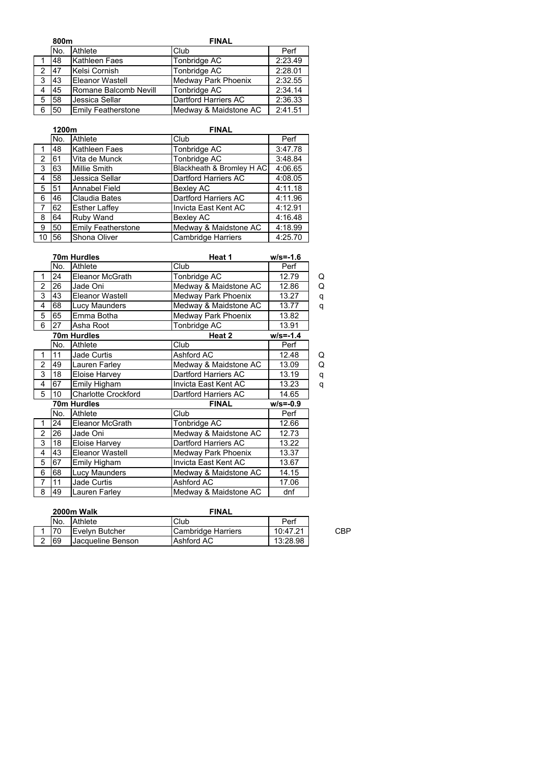|   | 800m            |                           | <b>FINAL</b>          |         |  |  |
|---|-----------------|---------------------------|-----------------------|---------|--|--|
|   | No.             | Athlete                   | Club                  | Perf    |  |  |
|   | 48              | <b>Kathleen Faes</b>      | Tonbridge AC          | 2:23.49 |  |  |
|   | 47              | Kelsi Cornish             | Tonbridge AC          | 2:28.01 |  |  |
| 3 | 143             | <b>Eleanor Wastell</b>    | Medway Park Phoenix   | 2:32.55 |  |  |
|   | 45              | Romane Balcomb Nevill     | Tonbridge AC          | 2:34.14 |  |  |
| 5 | 58              | Jessica Sellar            | Dartford Harriers AC  | 2:36.33 |  |  |
| 6 | 50 <sub>1</sub> | <b>Emily Featherstone</b> | Medway & Maidstone AC | 2:41.51 |  |  |

|                | 1200m |                           | <b>FINAL</b>              |         |  |
|----------------|-------|---------------------------|---------------------------|---------|--|
|                | No.   | Athlete                   | Club                      | Perf    |  |
|                | 48    | Kathleen Faes             | Tonbridge AC              | 3:47.78 |  |
| $\overline{2}$ | 61    | Vita de Munck             | Tonbridge AC              | 3:48.84 |  |
| 3              | 63    | <b>Millie Smith</b>       | Blackheath & Bromley H AC | 4:06.65 |  |
| 4              | 58    | Jessica Sellar            | Dartford Harriers AC      | 4:08.05 |  |
| 5              | 51    | Annabel Field             | <b>Bexley AC</b>          | 4:11.18 |  |
| 6              | 46    | Claudia Bates             | Dartford Harriers AC      | 4:11.96 |  |
|                | 62    | <b>Esther Laffey</b>      | Invicta East Kent AC      | 4:12.91 |  |
| 8              | 64    | Ruby Wand                 | Bexley AC                 | 4:16.48 |  |
| 9              | 50    | <b>Emily Featherstone</b> | Medway & Maidstone AC     | 4:18.99 |  |
| l 10           | 56    | Shona Oliver              | Cambridge Harriers        | 4:25.70 |  |

|                |     | 70m Hurdles                | Heat 1                | $w/s = -1.6$ |   |
|----------------|-----|----------------------------|-----------------------|--------------|---|
|                | No. | Athlete                    | Club                  | Perf         |   |
| 1              | 24  | <b>Eleanor McGrath</b>     | Tonbridge AC          | 12.79        | Q |
| $\overline{2}$ | 26  | Jade Oni                   | Medway & Maidstone AC | 12.86        | Q |
| 3              | 43  | <b>Eleanor Wastell</b>     | Medway Park Phoenix   | 13.27        | q |
| 4              | 68  | <b>Lucy Maunders</b>       | Medway & Maidstone AC | 13.77        | q |
| 5              | 65  | Emma Botha                 | Medway Park Phoenix   | 13.82        |   |
| - 6            | 27  | Asha Root                  | Tonbridge AC          | 13.91        |   |
|                |     | 70m Hurdles                | Heat 2                | $w/s = -1.4$ |   |
|                | No. | Athlete                    | Club                  | Perf         |   |
| 1              | 11  | <b>Jade Curtis</b>         | Ashford AC            | 12.48        | Q |
| $\overline{2}$ | 49  | Lauren Farley              | Medway & Maidstone AC | 13.09        | Q |
| 3              | 18  | Eloise Harvey              | Dartford Harriers AC  | 13.19        | q |
| $\overline{4}$ | 67  | Emily Higham               | Invicta East Kent AC  | 13.23        | q |
| 5              | 10  | <b>Charlotte Crockford</b> | Dartford Harriers AC  | 14.65        |   |
|                |     | 70m Hurdles                | <b>FINAL</b>          | $w/s = -0.9$ |   |
|                | No. | Athlete                    | Club                  | Perf         |   |
| 1              | 24  | <b>Eleanor McGrath</b>     | Tonbridge AC          | 12.66        |   |
| $\overline{2}$ | 26  | Jade Oni                   | Medway & Maidstone AC | 12.73        |   |
| 3              | 18  | Eloise Harvey              | Dartford Harriers AC  | 13.22        |   |
| 4              | 43  | Eleanor Wastell            | Medway Park Phoenix   | 13.37        |   |
| 5              | 67  | Emily Higham               | Invicta East Kent AC  | 13.67        |   |
| 6              | 68  | Lucy Maunders              | Medway & Maidstone AC | 14.15        |   |
| $\overline{7}$ | 11  | Jade Curtis                | Ashford AC            | 17.06        |   |
| 8              | 49  | Lauren Farley              | Medway & Maidstone AC | dnf          |   |

| 2000m Walk |                          | <b>FINAL</b>       |          |     |
|------------|--------------------------|--------------------|----------|-----|
| 'No.       | Athlete                  | Club               | Perf     |     |
|            | Evelyn Butcher           | Cambridge Harriers | 10:47.21 | CBP |
| 69         | <b>Jacqueline Benson</b> | Ashford AC         | 13:28.98 |     |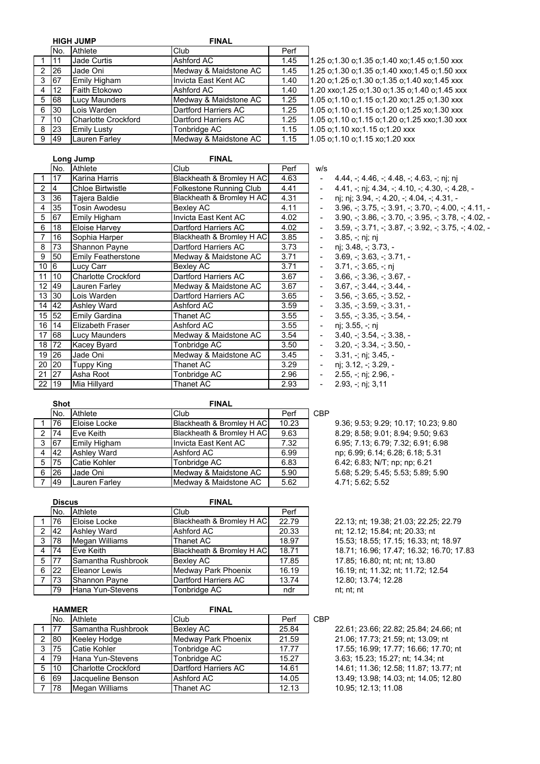|  |  | 11GH |  |  |  |
|--|--|------|--|--|--|
|--|--|------|--|--|--|

|   | <b>HIGH JUMP</b> |                            | <b>FINAL</b>          |      |
|---|------------------|----------------------------|-----------------------|------|
|   | No.              | Athlete                    | Club                  | Perf |
|   | 11               | <b>Jade Curtis</b>         | Ashford AC            | 1.45 |
| 2 | 26               | Jade Oni                   | Medway & Maidstone AC | 1.45 |
| 3 | 67               | <b>Emily Higham</b>        | Invicta East Kent AC  | 1.40 |
| 4 | 12               | <b>Faith Etokowo</b>       | Ashford AC            | 1.40 |
| 5 | 68               | <b>Lucy Maunders</b>       | Medway & Maidstone AC | 1.25 |
| 6 | 30               | Lois Warden                | Dartford Harriers AC  | 1.25 |
| 7 | 10               | <b>Charlotte Crockford</b> | Dartford Harriers AC  | 1.25 |
| 8 | 23               | <b>Emily Lusty</b>         | Tonbridge AC          | 1.15 |
| 9 | 49               | Lauren Farley              | Medway & Maidstone AC | 1.15 |
|   |                  |                            |                       |      |

1.05 o;1.10 xo;1.15 o;1.20 xxx 1.05 o;1.10 o;1.15 xo;1.20 xxx 1.20 o;1.25 o;1.30 o;1.35 o;1.40 xo;1.45 xxx 1.20 xxo;1.25 o;1.30 o;1.35 o;1.40 o;1.45 xxx 1.05 o;1.10 o;1.15 o;1.20 xo;1.25 o;1.30 xxx 1.05 o;1.10 o;1.15 o;1.20 o;1.25 xo;1.30 xxx 1.05 o;1.10 o;1.15 o;1.20 o;1.25 xxo;1.30 xxx 1.25 o;1.30 o;1.35 o;1.40 xo;1.45 o;1.50 xxx 1.25 o;1.30 o;1.35 o;1.40 xxo;1.45 o;1.50 xxx

|              |                    | Long Jump                  | <b>FINAL</b>              |      |                |                                                                                                                                   |
|--------------|--------------------|----------------------------|---------------------------|------|----------------|-----------------------------------------------------------------------------------------------------------------------------------|
|              | No.                | Athlete                    | Club                      | Perf | W/S            |                                                                                                                                   |
| $\mathbf{1}$ | <b>17</b>          | Karina Harris              | Blackheath & Bromley H AC | 4.63 | $\blacksquare$ | $4.44, \div 4.46, \div 4.48, \div 4.63, \div \text{ni}; \text{ni}$                                                                |
| 2            | 14                 | <b>Chloe Birtwistle</b>    | Folkestone Running Club   | 4.41 | $\blacksquare$ | 4.41, $\div$ ni; 4.34, $\div$ 4.10, $\div$ 4.30, $\div$ 4.28, $\div$                                                              |
| 3            | 36                 | Tajera Baldie              | Blackheath & Bromley H AC | 4.31 | $\blacksquare$ | ni; ni; 3.94, -; 4.20, -; 4.04, -; 4.31, -                                                                                        |
| 4            | 35                 | Tosin Awodesu              | Bexley AC                 | 4.11 | $\blacksquare$ | $3.96, \frac{1}{2}$ ; $3.75, \frac{1}{2}$ ; $3.91, \frac{1}{2}$ ; $3.70, \frac{1}{2}$ ; $4.00, \frac{1}{2}$ ; $4.11, \frac{1}{2}$ |
| 5            | 67                 | Emily Higham               | Invicta East Kent AC      | 4.02 | $\blacksquare$ | $3.90, \frac{1}{2}$ , $3.86, \frac{1}{2}$ , $3.70, \frac{1}{2}$ , $3.95, \frac{1}{2}$ , $3.78, \frac{1}{2}$ , $4.02, \frac{1}{2}$ |
| 6            | 18                 | Eloise Harvey              | Dartford Harriers AC      | 4.02 | $\blacksquare$ | $3.59.$ $\div$ $3.71.$ $\div$ $3.87.$ $\div$ $3.92.$ $\div$ $3.75.$ $\div$ $4.02.$                                                |
| 7            | 16                 | Sophia Harper              | Blackheath & Bromley H AC | 3.85 | $\blacksquare$ | $3.85, -; nj; nj$                                                                                                                 |
| 8            | 73                 | Shannon Payne              | Dartford Harriers AC      | 3.73 | $\blacksquare$ | nj; 3.48, -; 3.73, -                                                                                                              |
| 9            | 50                 | <b>Emily Featherstone</b>  | Medway & Maidstone AC     | 3.71 | $\blacksquare$ | $3.69 - 3.63 - 3.71 -$                                                                                                            |
| 10           | $\sqrt{6}$         | Lucy Carr                  | <b>Bexley AC</b>          | 3.71 | $\blacksquare$ | $3.71 - 3.65 - n$                                                                                                                 |
| 11           | 10 <sup>10</sup>   | <b>Charlotte Crockford</b> | Dartford Harriers AC      | 3.67 | $\blacksquare$ | $3.66, \div 3.36, \div 3.67, -$                                                                                                   |
| 12           | 49                 | Lauren Farley              | Medway & Maidstone AC     | 3.67 | $\blacksquare$ | 3.67 : 3.44 : 3.44.                                                                                                               |
| 13           | 30                 | Lois Warden                | Dartford Harriers AC      | 3.65 | $\blacksquare$ | $3.56. - 3.65. - 3.52. -$                                                                                                         |
|              | 14 42              | Ashley Ward                | Ashford AC                | 3.59 | $\blacksquare$ | $3.35, -3.59, -3.31, -$                                                                                                           |
|              | 15 52              | <b>Emily Gardina</b>       | Thanet AC                 | 3.55 | $\blacksquare$ | $3.55 - 3.35 - 3.54 -$                                                                                                            |
| 16           | $\overline{114}$   | Elizabeth Fraser           | Ashford AC                | 3.55 | $\blacksquare$ | $n$ j; 3.55, -; nj                                                                                                                |
| 17           | 68                 | Lucy Maunders              | Medway & Maidstone AC     | 3.54 | $\blacksquare$ | $3.40 - 3.54 - 3.38 -$                                                                                                            |
|              | 18 72              | <b>Kacey Byard</b>         | Tonbridge AC              | 3.50 | $\blacksquare$ | $3.20 - 3.34 - 3.50 -$                                                                                                            |
|              | 19 26              | Jade Oni                   | Medway & Maidstone AC     | 3.45 | $\blacksquare$ | $3.31, -$ ; nj; $3.45, -$                                                                                                         |
| 20           | 20                 | Tuppy King                 | Thanet AC                 | 3.29 | $\blacksquare$ | $n$ j; 3.12, -; 3.29, -                                                                                                           |
| 21           | 27                 | Asha Root                  | Tonbridge AC              | 2.96 | $\blacksquare$ | $2.55, -; \npi; 2.96, -$                                                                                                          |
|              | $\overline{22}$ 19 | Mia Hillyard               | <b>Thanet AC</b>          | 2.93 |                | $2.93, -$ ; nj; 3,11                                                                                                              |

| 4.44, -; 4.46, -; 4.48, -; 4.63, -; nj; nj                                                                          |
|---------------------------------------------------------------------------------------------------------------------|
| $4.41, -$ ; nj; $4.34, -$ ; $4.10, -$ ; $4.30, -$ ; $4.28, -$                                                       |
| nj; nj; 3.94, -; 4.20, -; 4.04, -; 4.31, -                                                                          |
| $3.96, \frac{1}{2}$ , $3.75, \frac{1}{2}$ , $3.91, \frac{1}{2}$ , $3.70, \frac{1}{2}$ , $4.00, \frac{1}{2}$ , $4.1$ |
| $3.90, -; 3.86, -; 3.70, -; 3.95, -; 3.78, -; 4.0$                                                                  |
| $3.59, -$ ; $3.71, -$ ; $3.87, -$ ; $3.92, -$ ; $3.75, -$ ; $4.0$                                                   |
| $3.85 -; n$ j; nj                                                                                                   |
| nj; 3.48, -; 3.73, -                                                                                                |
| $3.69, \div 3.63, \div 3.71, -$                                                                                     |
| $3.71, -3.65, -7$                                                                                                   |
| $3.66, \div 3.36, \div 3.67, -$                                                                                     |
| $3.67 + 3.44 + 3.44 -$                                                                                              |
| $3.56, -3.65, -3.52, -$                                                                                             |
| $3.35, -3.59, -3.31, -$                                                                                             |
| $3.55 + 3.35 + 3.54 -$                                                                                              |
| ni: 3.55. -: ni                                                                                                     |
| $3.40, -3.54, -3.38, -$                                                                                             |
| 3.20. : 3.34. : 3.50.                                                                                               |
| 3.31, -; nj; 3.45, -                                                                                                |
| nj; 3.12, -; 3.29, -                                                                                                |
| 2.55, -; nj; 2.96, -                                                                                                |

|   | <b>Shot</b> |                    | <b>FINAL</b>              |       |            |  |
|---|-------------|--------------------|---------------------------|-------|------------|--|
|   | No.         | Athlete            | Club                      | Perf  | <b>CBP</b> |  |
|   | 76          | Eloise Locke       | Blackheath & Bromley H AC | 10.23 |            |  |
| 2 | 74          | Eve Keith          | Blackheath & Bromley H AC | 9.63  |            |  |
| 3 | 167         | Emily Higham       | Invicta East Kent AC      | 7.32  |            |  |
| 4 | 42          | <b>Ashley Ward</b> | Ashford AC                | 6.99  |            |  |
| 5 | 75          | Catie Kohler       | Tonbridge AC              | 6.83  |            |  |
| 6 | 26          | Jade Oni           | Medway & Maidstone AC     | 5.90  |            |  |
|   | 49          | Lauren Farley      | Medway & Maidstone AC     | 5.62  |            |  |

9.36; 9.53; 9.29; 10.17; 10.23; 9.80 8.29; 8.58; 9.01; 8.94; 9.50; 9.63 3 67 Emily Higham Invicta East Kent AC 7.32 6.95; 7.13; 6.79; 7.32; 6.91; 6.98 np; 6.99; 6.14; 6.28; 6.18; 5.31 6.42; 6.83; N/T; np; np; 6.21 6 26 Jade Oni Medway & Maidstone AC 5.90 5.68; 5.29; 5.45; 5.53; 5.89; 5.90 4.71; 5.62; 5.52

|                | <b>Discus</b>     |                       | <b>FINAL</b>               |       |                    |
|----------------|-------------------|-----------------------|----------------------------|-------|--------------------|
|                | No.               | Athlete               | Club                       | Perf  |                    |
| 1              | 76                | Eloise Locke          | Blackheath & Bromley H AC  | 22.79 | 22.13; n           |
|                | $2 \mid 42$       | <b>Ashley Ward</b>    | Ashford AC                 | 20.33 | nt; 12.12          |
|                | $3 \mid 78$       | <b>Megan Williams</b> | Thanet AC                  | 18.97 | 15.53; 1           |
| 4 <sup>1</sup> | 174               | Eve Keith             | Blackheath & Bromley H AC  | 18.71 | 18.71:1            |
| 5 <sup>1</sup> | 77                | Samantha Rushbrook    | <b>Bexley AC</b>           | 17.85 | 17.85; 1           |
| 6              | <b>22</b>         | Eleanor Lewis         | <b>Medway Park Phoenix</b> | 16.19 | 16.19; n           |
|                | $7 \overline{73}$ | <b>Shannon Payne</b>  | Dartford Harriers AC       | 13.74 | 12.80; 1           |
|                | 79                | Hana Yun-Stevens      | Tonbridge AC               | ndr   | $nt$ ; $nt$ ; $nt$ |

|   | <b>HAMMER</b> |                            | <b>FINAL</b>         |       |            |
|---|---------------|----------------------------|----------------------|-------|------------|
|   | No.           | Athlete                    | Club                 | Perf  | <b>CBP</b> |
|   | 77            | Samantha Rushbrook         | <b>Bexley AC</b>     | 25.84 |            |
| 2 | 180           | Keeley Hodge               | Medway Park Phoenix  | 21.59 |            |
| 3 | 75            | Catie Kohler               | Tonbridge AC         | 17.77 |            |
| 4 | 79            | Hana Yun-Stevens           | Tonbridge AC         | 15.27 |            |
| 5 | 10            | <b>Charlotte Crockford</b> | Dartford Harriers AC | 14.61 |            |
| 6 | 69            | Jacqueline Benson          | Ashford AC           | 14.05 |            |
|   | 78            | <b>Megan Williams</b>      | Thanet AC            | 12.13 |            |

## 18.71; 16.96; 17.47; 16.32; 16.70; 17.83 17.85; 16.80; nt; nt; nt; 13.80 16.19; nt; 11.32; nt; 11.72; 12.54 12.80; 13.74; 12.28

22.13; nt; 19.38; 21.03; 22.25; 22.79 nt; 12.12; 15.84; nt; 20.33; nt 15.53; 18.55; 17.15; 16.33; nt; 18.97

22.61; 23.66; 22.82; 25.84; 24.66; nt 21.06; 17.73; 21.59; nt; 13.09; nt 17.55; 16.99; 17.77; 16.66; 17.70; nt 3.63; 15.23; 15.27; nt; 14.34; nt 14.61; 11.36; 12.58; 11.87; 13.77; nt 13.49; 13.98; 14.03; nt; 14.05; 12.80 10.95; 12.13; 11.08